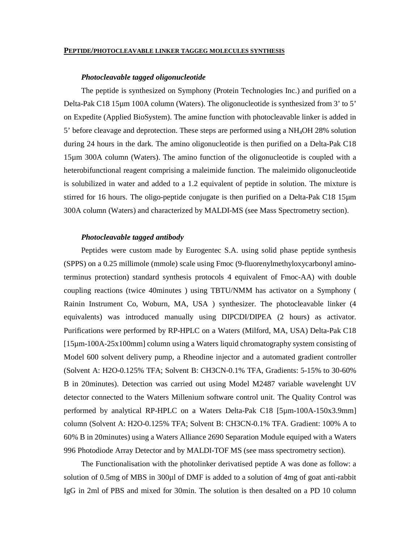#### **PEPTIDE/PHOTOCLEAVABLE LINKER TAGGEG MOLECULES SYNTHESIS**

### *Photocleavable tagged oligonucleotide*

The peptide is synthesized on Symphony (Protein Technologies Inc.) and purified on a Delta-Pak C18 15µm 100A column (Waters). The oligonucleotide is synthesized from 3' to 5' on Expedite (Applied BioSystem). The amine function with photocleavable linker is added in 5' before cleavage and deprotection. These steps are performed using a NH4OH 28% solution during 24 hours in the dark. The amino oligonucleotide is then purified on a Delta-Pak C18 15µm 300A column (Waters). The amino function of the oligonucleotide is coupled with a heterobifunctional reagent comprising a maleimide function. The maleimido oligonucleotide is solubilized in water and added to a 1.2 equivalent of peptide in solution. The mixture is stirred for 16 hours. The oligo-peptide conjugate is then purified on a Delta-Pak C18 15µm 300A column (Waters) and characterized by MALDI-MS (see Mass Spectrometry section).

## *Photocleavable tagged antibody*

Peptides were custom made by Eurogentec S.A. using solid phase peptide synthesis (SPPS) on a 0.25 millimole (mmole) scale using Fmoc (9-fluorenylmethyloxycarbonyl aminoterminus protection) standard synthesis protocols 4 equivalent of Fmoc-AA) with double coupling reactions (twice 40minutes ) using TBTU/NMM has activator on a Symphony ( Rainin Instrument Co, Woburn, MA, USA ) synthesizer. The photocleavable linker (4 equivalents) was introduced manually using DIPCDI/DIPEA (2 hours) as activator. Purifications were performed by RP-HPLC on a Waters (Milford, MA, USA) Delta-Pak C18 [15µm-100A-25x100mm] column using a Waters liquid chromatography system consisting of Model 600 solvent delivery pump, a Rheodine injector and a automated gradient controller (Solvent A: H2O-0.125% TFA; Solvent B: CH3CN-0.1% TFA, Gradients: 5-15% to 30-60% B in 20minutes). Detection was carried out using Model M2487 variable wavelenght UV detector connected to the Waters Millenium software control unit. The Quality Control was performed by analytical RP-HPLC on a Waters Delta-Pak C18 [5µm-100A-150x3.9mm] column (Solvent A: H2O-0.125% TFA; Solvent B: CH3CN-0.1% TFA. Gradient: 100% A to 60% B in 20minutes) using a Waters Alliance 2690 Separation Module equiped with a Waters 996 Photodiode Array Detector and by MALDI-TOF MS (see mass spectrometry section).

The Functionalisation with the photolinker derivatised peptide A was done as follow: a solution of 0.5mg of MBS in 300µl of DMF is added to a solution of 4mg of goat anti-rabbit IgG in 2ml of PBS and mixed for 30min. The solution is then desalted on a PD 10 column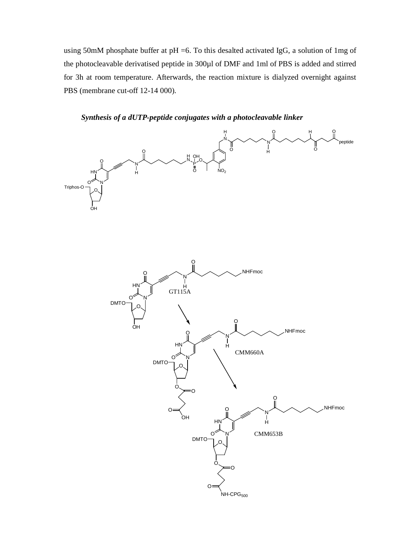using 50mM phosphate buffer at pH =6. To this desalted activated IgG, a solution of 1mg of the photocleavable derivatised peptide in 300µl of DMF and 1ml of PBS is added and stirred for 3h at room temperature. Afterwards, the reaction mixture is dialyzed overnight against PBS (membrane cut-off 12-14 000).



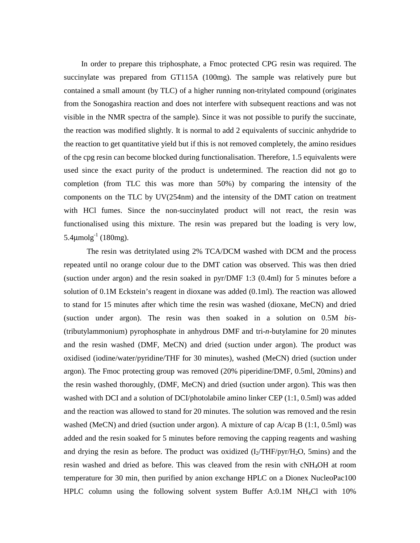In order to prepare this triphosphate, a Fmoc protected CPG resin was required. The succinylate was prepared from GT115A (100mg). The sample was relatively pure but contained a small amount (by TLC) of a higher running non-tritylated compound (originates from the Sonogashira reaction and does not interfere with subsequent reactions and was not visible in the NMR spectra of the sample). Since it was not possible to purify the succinate, the reaction was modified slightly. It is normal to add 2 equivalents of succinic anhydride to the reaction to get quantitative yield but if this is not removed completely, the amino residues of the cpg resin can become blocked during functionalisation. Therefore, 1.5 equivalents were used since the exact purity of the product is undetermined. The reaction did not go to completion (from TLC this was more than 50%) by comparing the intensity of the components on the TLC by UV(254nm) and the intensity of the DMT cation on treatment with HCl fumes. Since the non-succinylated product will not react, the resin was functionalised using this mixture. The resin was prepared but the loading is very low,  $5.4$ <sub>umolg</sub><sup>-1</sup> (180mg).

The resin was detritylated using 2% TCA/DCM washed with DCM and the process repeated until no orange colour due to the DMT cation was observed. This was then dried (suction under argon) and the resin soaked in pyr/DMF 1:3 (0.4ml) for 5 minutes before a solution of 0.1M Eckstein's reagent in dioxane was added (0.1ml). The reaction was allowed to stand for 15 minutes after which time the resin was washed (dioxane, MeCN) and dried (suction under argon). The resin was then soaked in a solution on 0.5M *bis*- (tributylammonium) pyrophosphate in anhydrous DMF and tri-*n*-butylamine for 20 minutes and the resin washed (DMF, MeCN) and dried (suction under argon). The product was oxidised (iodine/water/pyridine/THF for 30 minutes), washed (MeCN) dried (suction under argon). The Fmoc protecting group was removed (20% piperidine/DMF, 0.5ml, 20mins) and the resin washed thoroughly, (DMF, MeCN) and dried (suction under argon). This was then washed with DCI and a solution of DCI/photolabile amino linker CEP (1:1, 0.5ml) was added and the reaction was allowed to stand for 20 minutes. The solution was removed and the resin washed (MeCN) and dried (suction under argon). A mixture of cap A/cap B (1:1, 0.5ml) was added and the resin soaked for 5 minutes before removing the capping reagents and washing and drying the resin as before. The product was oxidized  $(I_2/THF/pyr/H_2O$ , 5mins) and the resin washed and dried as before. This was cleaved from the resin with cNH4OH at room temperature for 30 min, then purified by anion exchange HPLC on a Dionex NucleoPac100 HPLC column using the following solvent system Buffer A:0.1M NH4Cl with 10%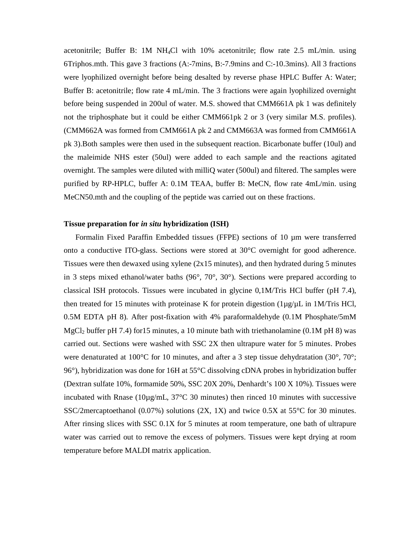acetonitrile; Buffer B: 1M NH4Cl with 10% acetonitrile; flow rate 2.5 mL/min. using 6Triphos.mth. This gave 3 fractions (A:-7mins, B:-7.9mins and C:-10.3mins). All 3 fractions were lyophilized overnight before being desalted by reverse phase HPLC Buffer A: Water; Buffer B: acetonitrile; flow rate 4 mL/min. The 3 fractions were again lyophilized overnight before being suspended in 200ul of water. M.S. showed that CMM661A pk 1 was definitely not the triphosphate but it could be either CMM661pk 2 or 3 (very similar M.S. profiles). (CMM662A was formed from CMM661A pk 2 and CMM663A was formed from CMM661A pk 3).Both samples were then used in the subsequent reaction. Bicarbonate buffer (10ul) and the maleimide NHS ester (50ul) were added to each sample and the reactions agitated overnight. The samples were diluted with milliQ water (500ul) and filtered. The samples were purified by RP-HPLC, buffer A: 0.1M TEAA, buffer B: MeCN, flow rate 4mL/min. using MeCN50.mth and the coupling of the peptide was carried out on these fractions.

### **Tissue preparation for** *in situ* **hybridization (ISH)**

Formalin Fixed Paraffin Embedded tissues (FFPE) sections of 10 µm were transferred onto a conductive ITO-glass. Sections were stored at 30°C overnight for good adherence. Tissues were then dewaxed using xylene  $(2x15 \text{ minutes})$ , and then hydrated during 5 minutes in 3 steps mixed ethanol/water baths  $(96^{\circ}, 70^{\circ}, 30^{\circ})$ . Sections were prepared according to classical ISH protocols. Tissues were incubated in glycine 0,1M/Tris HCl buffer (pH 7.4), then treated for 15 minutes with proteinase K for protein digestion  $(1\mu g/\mu L)$  in 1M/Tris HCl, 0.5M EDTA pH 8). After post-fixation with 4% paraformaldehyde (0.1M Phosphate/5mM  $MgCl<sub>2</sub>$  buffer pH 7.4) for 15 minutes, a 10 minute bath with triethanolamine (0.1M pH 8) was carried out. Sections were washed with SSC 2X then ultrapure water for 5 minutes. Probes were denaturated at 100 $^{\circ}$ C for 10 minutes, and after a 3 step tissue dehydratation (30 $^{\circ}$ , 70 $^{\circ}$ ; 96°), hybridization was done for 16H at 55°C dissolving cDNA probes in hybridization buffer (Dextran sulfate 10%, formamide 50%, SSC 20X 20%, Denhardt's 100 X 10%). Tissues were incubated with Rnase ( $10\mu g/mL$ ,  $37^{\circ}$ C 30 minutes) then rinced 10 minutes with successive SSC/2mercaptoethanol (0.07%) solutions (2X, 1X) and twice 0.5X at 55°C for 30 minutes. After rinsing slices with SSC 0.1X for 5 minutes at room temperature, one bath of ultrapure water was carried out to remove the excess of polymers. Tissues were kept drying at room temperature before MALDI matrix application.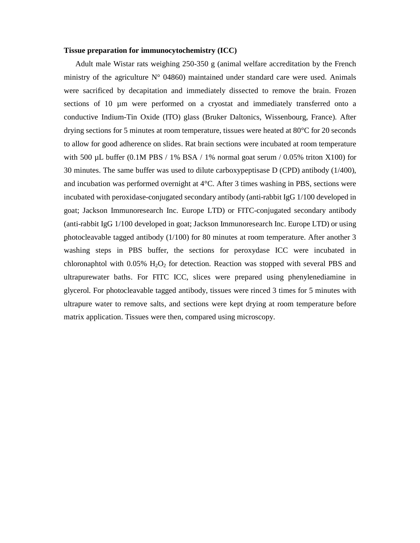### **Tissue preparation for immunocytochemistry (ICC)**

Adult male Wistar rats weighing 250-350 g (animal welfare accreditation by the French ministry of the agriculture  $N^{\circ}$  04860) maintained under standard care were used. Animals were sacrificed by decapitation and immediately dissected to remove the brain. Frozen sections of 10  $\mu$ m were performed on a cryostat and immediately transferred onto a conductive Indium-Tin Oxide (ITO) glass (Bruker Daltonics, Wissenbourg, France). After drying sections for 5 minutes at room temperature, tissues were heated at 80°C for 20 seconds to allow for good adherence on slides. Rat brain sections were incubated at room temperature with 500  $\mu$ L buffer (0.1M PBS / 1% BSA / 1% normal goat serum / 0.05% triton X100) for 30 minutes. The same buffer was used to dilute carboxypeptisase D (CPD) antibody (1/400), and incubation was performed overnight at  $4^{\circ}$ C. After 3 times washing in PBS, sections were incubated with peroxidase-conjugated secondary antibody (anti-rabbit IgG 1/100 developed in goat; Jackson Immunoresearch Inc. Europe LTD) or FITC-conjugated secondary antibody (anti-rabbit IgG 1/100 developed in goat; Jackson Immunoresearch Inc. Europe LTD) or using photocleavable tagged antibody (1/100) for 80 minutes at room temperature. After another 3 washing steps in PBS buffer, the sections for peroxydase ICC were incubated in chloronaphtol with  $0.05\%$  H<sub>2</sub>O<sub>2</sub> for detection. Reaction was stopped with several PBS and ultrapurewater baths. For FITC ICC, slices were prepared using phenylenediamine in glycerol. For photocleavable tagged antibody, tissues were rinced 3 times for 5 minutes with ultrapure water to remove salts, and sections were kept drying at room temperature before matrix application. Tissues were then, compared using microscopy.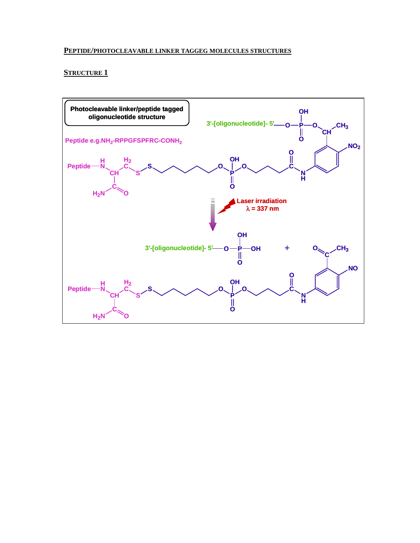## **PEPTIDE/PHOTOCLEAVABLE LINKER TAGGEG MOLECULES STRUCTURES**

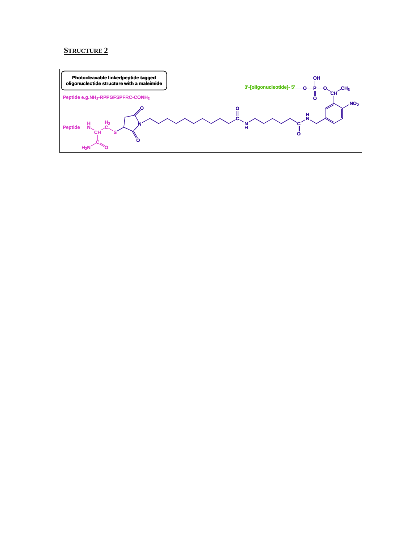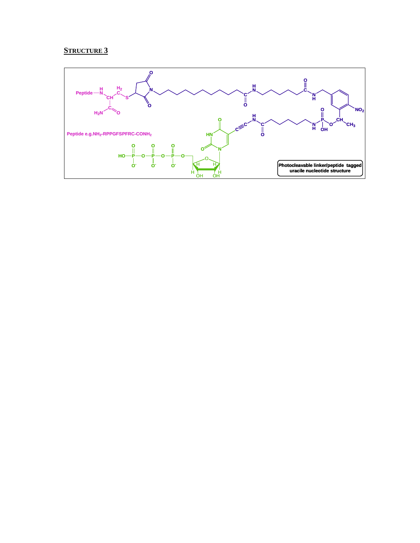